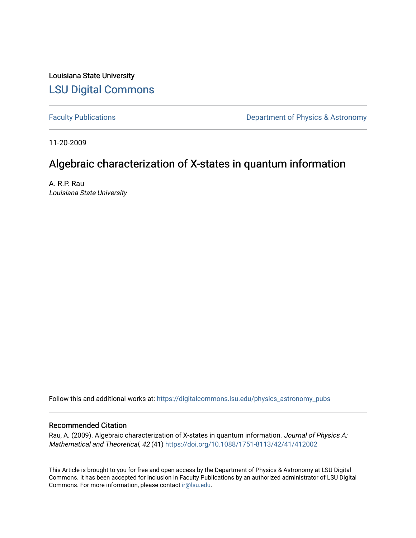Louisiana State University [LSU Digital Commons](https://digitalcommons.lsu.edu/)

[Faculty Publications](https://digitalcommons.lsu.edu/physics_astronomy_pubs) **Exercise 2** Constant Department of Physics & Astronomy

11-20-2009

# Algebraic characterization of X-states in quantum information

A. R.P. Rau Louisiana State University

Follow this and additional works at: [https://digitalcommons.lsu.edu/physics\\_astronomy\\_pubs](https://digitalcommons.lsu.edu/physics_astronomy_pubs?utm_source=digitalcommons.lsu.edu%2Fphysics_astronomy_pubs%2F4505&utm_medium=PDF&utm_campaign=PDFCoverPages) 

## Recommended Citation

Rau, A. (2009). Algebraic characterization of X-states in quantum information. Journal of Physics A: Mathematical and Theoretical, 42 (41)<https://doi.org/10.1088/1751-8113/42/41/412002>

This Article is brought to you for free and open access by the Department of Physics & Astronomy at LSU Digital Commons. It has been accepted for inclusion in Faculty Publications by an authorized administrator of LSU Digital Commons. For more information, please contact [ir@lsu.edu](mailto:ir@lsu.edu).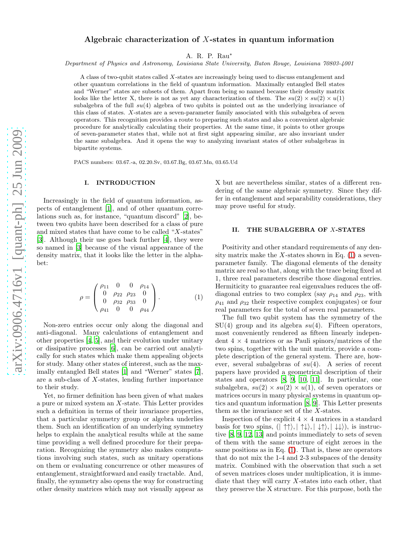### Algebraic characterization of X-states in quantum information

A. R. P. Rau<sup>∗</sup>

Department of Physics and Astronomy, Louisiana State University, Baton Rouge, Louisiana 70803-4001

A class of two-qubit states called X-states are increasingly being used to discuss entanglement and other quantum correlations in the field of quantum information. Maximally entangled Bell states and "Werner" states are subsets of them. Apart from being so named because their density matrix looks like the letter X, there is not as yet any characterization of them. The  $su(2) \times su(2) \times u(1)$ subalgebra of the full  $su(4)$  algebra of two qubits is pointed out as the underlying invariance of this class of states. X-states are a seven-parameter family associated with this subalgebra of seven operators. This recognition provides a route to preparing such states and also a convenient algebraic procedure for analytically calculating their properties. At the same time, it points to other groups of seven-parameter states that, while not at first sight appearing similar, are also invariant under the same subalgebra. And it opens the way to analyzing invariant states of other subalgebras in bipartite systems.

PACS numbers: 03.67.-a, 02.20.Sv, 03.67.Bg, 03.67.Mn, 03.65.Ud

#### I. INTRODUCTION

Increasingly in the field of quantum information, aspects of entanglement [\[1\]](#page-3-0), and of other quantum correlations such as, for instance, "quantum discord" [\[2](#page-4-0)], between two qubits have been described for a class of pure and mixed states that have come to be called " $X$ -states" [\[3\]](#page-4-1). Although their use goes back further [\[4](#page-4-2)], they were so named in [\[3\]](#page-4-1) because of the visual appearance of the density matrix, that it looks like the letter in the alphabet:

<span id="page-1-0"></span>
$$
\rho = \begin{pmatrix} \rho_{11} & 0 & 0 & \rho_{14} \\ 0 & \rho_{22} & \rho_{23} & 0 \\ 0 & \rho_{32} & \rho_{33} & 0 \\ \rho_{41} & 0 & 0 & \rho_{44} \end{pmatrix} . \tag{1}
$$

Non-zero entries occur only along the diagonal and anti-diagonal. Many calculations of entanglement and other properties [\[4](#page-4-2), [5\]](#page-4-3), and their evolution under unitary or dissipative processes [\[6\]](#page-4-4), can be carried out analytically for such states which make them appealing objects for study. Many other states of interest, such as the maximally entangled Bell states [\[1](#page-3-0)] and "Werner" states [\[7\]](#page-4-5), are a sub-class of X-states, lending further importance to their study.

Yet, no firmer definition has been given of what makes a pure or mixed system an X-state. This Letter provides such a definition in terms of their invariance properties, that a particular symmetry group or algebra underlies them. Such an identification of an underlying symmetry helps to explain the analytical results while at the same time providing a well defined procedure for their preparation. Recognizing the symmetry also makes computations involving such states, such as unitary operations on them or evaluating concurrence or other measures of entanglement, straightforward and easily tractable. And, finally, the symmetry also opens the way for constructing other density matrices which may not visually appear as X but are nevertheless similar, states of a different rendering of the same algebraic symmetry. Since they differ in entanglement and separability considerations, they may prove useful for study.

#### II. THE SUBALGEBRA OF X-STATES

Positivity and other standard requirements of any density matrix make the X-states shown in Eq.  $(1)$  a sevenparameter family. The diagonal elements of the density matrix are real so that, along with the trace being fixed at 1, three real parameters describe those diagonal entries. Hermiticity to guarantee real eigenvalues reduces the offdiagonal entries to two complex (say  $\rho_{14}$  and  $\rho_{23}$ , with  $\rho_{41}$  and  $\rho_{32}$  their respective complex conjugates) or four real parameters for the total of seven real parameters.

The full two qubit system has the symmetry of the  $SU(4)$  group and its algebra  $su(4)$ . Fifteen operators, most conveniently rendered as fifteen linearly independent  $4 \times 4$  matrices or as Pauli spinors/matrices of the two spins, together with the unit matrix, provide a complete description of the general system. There are, however, several subalgebras of  $su(4)$ . A series of recent papers have provided a geometrical description of their states and operators [\[8,](#page-4-6) [9](#page-4-7), [10](#page-4-8), [11\]](#page-4-9). In particular, one subalgebra,  $su(2) \times su(2) \times u(1)$ , of seven operators or matrices occurs in many physical systems in quantum optics and quantum information [\[8](#page-4-6), [9\]](#page-4-7). This Letter presents them as the invariance set of the X-states.

Inspection of the explicit  $4 \times 4$  matrices in a standard basis for two spins,  $(| \uparrow \uparrow \rangle, | \uparrow \downarrow \rangle, | \downarrow \uparrow \rangle, | \downarrow \downarrow \rangle)$ , is instructive [\[8,](#page-4-6) [9,](#page-4-7) [12](#page-4-10), [13](#page-4-11)] and points immediately to sets of seven of them with the same structure of eight zeroes in the same positions as in Eq. [\(1\)](#page-1-0). That is, these are operators that do not mix the 1-4 and 2-3 subspaces of the density matrix. Combined with the observation that such a set of seven matrices closes under multiplication, it is immediate that they will carry  $X$ -states into each other, that they preserve the X structure. For this purpose, both the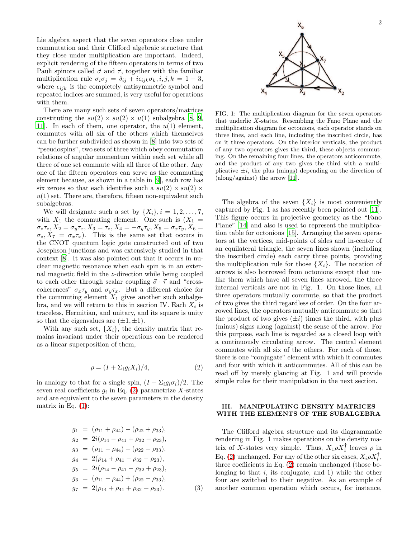Lie algebra aspect that the seven operators close under commutation and their Clifford algebraic structure that they close under multiplication are important. Indeed, explicit rendering of the fifteen operators in terms of two Pauli spinors called  $\vec{\sigma}$  and  $\vec{\tau}$ , together with the familiar multiplication rule  $\sigma_i \sigma_j = \delta_{ij} + i \epsilon_{ijk} \sigma_k, i, j, k = 1 - 3$ , where  $\epsilon_{ijk}$  is the completely antisymmetric symbol and repeated indices are summed, is very useful for operations with them.

There are many such sets of seven operators/matrices constituting the  $su(2) \times su(2) \times u(1)$  subalgebra [\[8,](#page-4-6) [9](#page-4-7), 11. In each of them, one operator, the  $u(1)$  element, commutes with all six of the others which themselves can be further subdivided as shown in [\[8](#page-4-6)] into two sets of "pseudospins", two sets of three which obey commutation relations of angular momentum within each set while all three of one set commute with all three of the other. Any one of the fifteen operators can serve as the commuting element because, as shown in a table in [\[9\]](#page-4-7), each row has six zeroes so that each identifies such a  $su(2) \times su(2) \times$  $u(1)$  set. There are, therefore, fifteen non-equivalent such subalgebras.

We will designate such a set by  $\{X_i\}, i = 1, 2, \ldots, 7$ , with  $X_1$  the commuting element. One such is  $(X_1 =$  $\sigma_z \tau_z$ ,  $X_2 = \sigma_y \tau_x$ ,  $X_3 = \tau_z$ ,  $X_4 = -\sigma_y \tau_y$ ,  $X_5 = \sigma_x \tau_y$ ,  $X_6 =$  $\sigma_z$ ,  $X_7 = \sigma_x \tau_x$ ). This is the same set that occurs in the CNOT quantum logic gate constructed out of two Josephson junctions and was extensively studied in that context [\[8](#page-4-6)]. It was also pointed out that it occurs in nuclear magnetic resonance when each spin is in an external magnetic field in the z-direction while being coupled to each other through scalar coupling  $\vec{\sigma} \cdot \vec{\tau}$  and "crosscoherences"  $\sigma_x \tau_y$  and  $\sigma_y \tau_x$ . But a different choice for the commuting element  $X_1$  gives another such subalgebra, and we will return to this in section IV. Each  $X_i$  is traceless, Hermitian, and unitary, and its square is unity so that the eigenvalues are  $(\pm 1, \pm 1)$ .

With any such set,  $\{X_i\}$ , the density matrix that remains invariant under their operations can be rendered as a linear superposition of them,

<span id="page-2-0"></span>
$$
\rho = (I + \Sigma_i g_i X_i) / 4,\tag{2}
$$

in analogy to that for a single spin,  $(I + \Sigma_i g_i \sigma_i)/2$ . The seven real coefficients  $g_i$  in Eq. [\(2\)](#page-2-0) parametrize X-states and are equivalent to the seven parameters in the density matrix in Eq.  $(1)$ :

$$
g_1 = (\rho_{11} + \rho_{44}) - (\rho_{22} + \rho_{33}),
$$
  
\n
$$
g_2 = 2i(\rho_{14} - \rho_{41} + \rho_{32} - \rho_{23}),
$$
  
\n
$$
g_3 = (\rho_{11} - \rho_{44}) - (\rho_{22} - \rho_{33}),
$$
  
\n
$$
g_4 = 2(\rho_{14} + \rho_{41} - \rho_{32} - \rho_{23}),
$$
  
\n
$$
g_5 = 2i(\rho_{14} - \rho_{41} - \rho_{32} + \rho_{23}),
$$
  
\n
$$
g_6 = (\rho_{11} - \rho_{44}) + (\rho_{22} - \rho_{33}),
$$
  
\n
$$
g_7 = 2(\rho_{14} + \rho_{41} + \rho_{32} + \rho_{23}).
$$
\n(3)



FIG. 1: The multiplication diagram for the seven operators that underlie X-states. Resembling the Fano Plane and the multiplication diagram for octonions, each operator stands on three lines, and each line, including the inscribed circle, has on it three operators. On the interior verticals, the product of any two operators gives the third, these objects commuting. On the remaining four lines, the operators anticommute, and the product of any two gives the third with a multiplicative  $\pm i$ , the plus (minus) depending on the direction of (along/against) the arrow [\[11](#page-4-9)].

The algebra of the seven  $\{X_i\}$  is most conveniently captured by Fig. 1 as has recently been pointed out [\[11\]](#page-4-9). This figure occurs in projective geometry as the "Fano Plane" [\[14\]](#page-4-12) and also is used to represent the multiplication table for octonions [\[15](#page-4-13)]. Arranging the seven operators at the vertices, mid-points of sides and in-center of an equilateral triangle, the seven lines shown (including the inscribed circle) each carry three points, providing the multiplication rule for those  $\{X_i\}$ . The notation of arrows is also borrowed from octonions except that unlike them which have all seven lines arrowed, the three internal verticals are not in Fig. 1. On those lines, all three operators mutually commute, so that the product of two gives the third regardless of order. On the four arrowed lines, the operators mutually anticommute so that the product of two gives  $(\pm i)$  times the third, with plus (minus) signs along (against) the sense of the arrow. For this purpose, each line is regarded as a closed loop with a continuously circulating arrow. The central element commutes with all six of the others. For each of those, there is one "conjugate" element with which it commutes and four with which it anticommutes. All of this can be read off by merely glancing at Fig. 1 and will provide simple rules for their manipulation in the next section.

#### III. MANIPULATING DENSITY MATRICES WITH THE ELEMENTS OF THE SUBALGEBRA

The Clifford algebra structure and its diagrammatic rendering in Fig. 1 makes operations on the density matrix of X-states very simple. Thus,  $X_1 \rho X_1^{\dagger}$  leaves  $\rho$  in Eq. [\(2\)](#page-2-0) unchanged. For any of the other six cases,  $X_i \rho X_i^{\dagger}$ , three coefficients in Eq. [\(2\)](#page-2-0) remain unchanged (those belonging to that  $i$ , its conjugate, and 1) while the other four are switched to their negative. As an example of another common operation which occurs, for instance,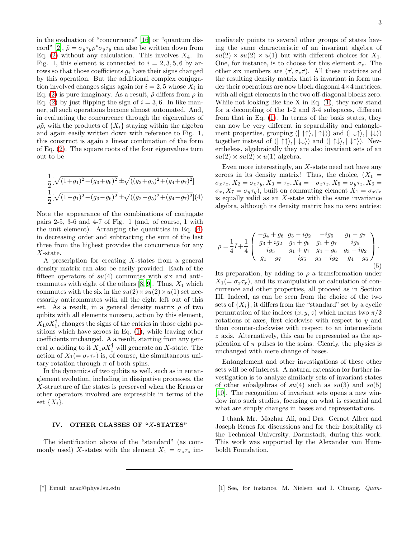in the evaluation of "concurrence" [\[16\]](#page-4-14) or "quantum dis-cord" [\[2\]](#page-4-0),  $\tilde{\rho} = \sigma_y \tau_y \rho^* \sigma_y \tau_y$  can also be written down from Eq. [\(2\)](#page-2-0) without any calculation. This involves  $X_4$ . In Fig. 1, this element is connected to  $i = 2, 3, 5, 6$  by arrows so that those coefficients  $g_i$  have their signs changed by this operation. But the additional complex conjugation involved changes signs again for  $i = 2, 5$  whose  $X_i$  in Eq. [\(2\)](#page-2-0) is pure imaginary. As a result,  $\tilde{\rho}$  differs from  $\rho$  in Eq. [\(2\)](#page-2-0) by just flipping the sign of  $i = 3, 6$ . In like manner, all such operations become almost automated. And, in evaluating the concurrence through the eigenvalues of  $\rho \tilde{\rho}$ , with the products of  $\{X_i\}$  staying within the algebra and again easily written down with reference to Fig. 1, this construct is again a linear combination of the form of Eq. [\(2\)](#page-2-0). The square roots of the four eigenvalues turn out to be

<span id="page-3-1"></span>
$$
\frac{1}{2}[\sqrt{(1+g_1)^2 - (g_3+g_6)^2} \pm \sqrt{((g_2+g_5)^2 + (g_4+g_7)^2]}
$$
  

$$
\frac{1}{2}[\sqrt{(1-g_1)^2 - (g_3-g_6)^2} \pm \sqrt{((g_2-g_5)^2 + (g_4-g_7)^2]}(4)
$$

Note the appearance of the combinations of conjugate pairs 2-5, 3-6 and 4-7 of Fig. 1 (and, of course, 1 with the unit element). Arranging the quantities in Eq. [\(4\)](#page-3-1) in decreasing order and subtracting the sum of the last three from the highest provides the concurrence for any X-state.

A prescription for creating  $X$ -states from a general density matrix can also be easily provided. Each of the fifteen operators of  $su(4)$  commutes with six and anticommutes with eight of the others  $[8, 9]$  $[8, 9]$  $[8, 9]$ . Thus,  $X_1$  which commutes with the six in the  $su(2) \times su(2) \times u(1)$  set necessarily anticommutes with all the eight left out of this set. As a result, in a general density matrix  $\rho$  of two qubits with all elements nonzero, action by this element,  $X_1 \rho X_1^{\dagger}$ , changes the signs of the entries in those eight positions which have zeroes in Eq. [\(1\)](#page-1-0), while leaving other coefficients unchanged. A a result, starting from any general  $\rho$ , adding to it  $X_1 \rho X_1^{\dagger}$  will generate an X-state. The action of  $X_1(=\sigma_z\tau_z)$  is, of course, the simultaneous unitary rotation through  $\pi$  of both spins.

In the dynamics of two qubits as well, such as in entanglement evolution, including in dissipative processes, the X-structure of the states is preserved when the Kraus or other operators involved are expressible in terms of the set  $\{X_i\}.$ 

#### IV. OTHER CLASSES OF "X-STATES"

The identification above of the "standard" (as commonly used) X-states with the element  $X_1 = \sigma_z \tau_z$  im-

mediately points to several other groups of states having the same characteristic of an invariant algebra of  $su(2) \times su(2) \times u(1)$  but with different choices for  $X_1$ . One, for instance, is to choose for this element  $\sigma_z$ . The other six members are  $(\vec{\tau}, \sigma_z \vec{\tau})$ . All these matrices and the resulting density matrix that is invariant in form under their operations are now block diagonal 4×4 matrices, with all eight elements in the two off-diagonal blocks zero. While not looking like the X in Eq. [\(1\)](#page-1-0), they now stand for a decoupling of the 1-2 and 3-4 subspaces, different from that in Eq. [\(1\)](#page-1-0). In terms of the basis states, they can now be very different in separability and entanglement properties, grouping  $(| \uparrow \uparrow \rangle, | \uparrow \downarrow \rangle)$  and  $(| \downarrow \uparrow \rangle, | \downarrow \downarrow \rangle)$ together instead of  $(| \uparrow \uparrow \rangle, | \downarrow \downarrow \rangle)$  and  $(| \uparrow \downarrow \rangle, | \downarrow \uparrow \rangle)$ . Nevertheless, algebraically they are also invariant sets of an  $su(2) \times su(2) \times u(1)$  algebra.

Even more interestingly, an  $X$ -state need not have any zeroes in its density matrix! Thus, the choice,  $(X_1 =$  $\sigma_x \tau_x$ ,  $X_2 = \sigma_z \tau_y$ ,  $X_3 = \tau_x$ ,  $X_4 = -\sigma_z \tau_z$ ,  $X_5 = \sigma_y \tau_z$ ,  $X_6 =$  $\sigma_x, X_7 = \sigma_y \tau_y$ , built on commuting element  $X_1 = \sigma_x \tau_x$ is equally valid as an  $X$ -state with the same invariance algebra, although its density matrix has no zero entries:

$$
\rho = \frac{1}{4}I + \frac{1}{4} \begin{pmatrix} -g_4 + g_6 & g_3 - ig_2 & -ig_5 & g_1 - g_7 \\ g_3 + ig_2 & g_4 + g_6 & g_1 + g_7 & ig_5 \\ ig_5 & g_1 + g_7 & g_4 - g_6 & g_3 + ig_2 \\ g_1 - g_7 & -ig_5 & g_3 - ig_2 & -g_4 - g_6 \end{pmatrix} . \tag{5}
$$

Its preparation, by adding to  $\rho$  a transformation under  $X_1(=\sigma_x\tau_x)$ , and its manipulation or calculation of concurrence and other properties, all proceed as in Section III. Indeed, as can be seen from the choice of the two sets of  $\{X_i\}$ , it differs from the "standard" set by a cyclic permutation of the indices  $(x, y, z)$  which means two  $\pi/2$ rotations of axes, first clockwise with respect to y and then counter-clockwise with respect to an intermediate z axis. Alternatively, this can be represented as the application of  $\pi$  pulses to the spins. Clearly, the physics is unchanged with mere change of bases.

Entanglement and other investigations of these other sets will be of interest. A natural extension for further investigation is to analyze similarly sets of invariant states of other subalgebras of  $su(4)$  such as  $su(3)$  and  $so(5)$ [\[10\]](#page-4-8). The recognition of invariant sets opens a new window into such studies, focusing on what is essential and what are simply changes in bases and representations.

<span id="page-3-0"></span>I thank Mr. Mazhar Ali, and Drs. Gernot Alber and Joseph Renes for discussions and for their hospitality at the Technical University, Darmstadt, during this work. This work was supported by the Alexander von Humboldt Foundation.

<sup>[\*]</sup> Email: arau@phys.lsu.edu [1] See, for instance, M. Nielsen and I. Chuang, Quan-